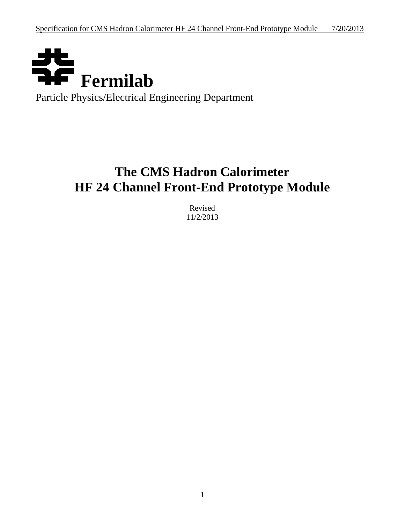

Particle Physics/Electrical Engineering Department

# **The CMS Hadron Calorimeter HF 24 Channel Front-End Prototype Module**

Revised 11/2/2013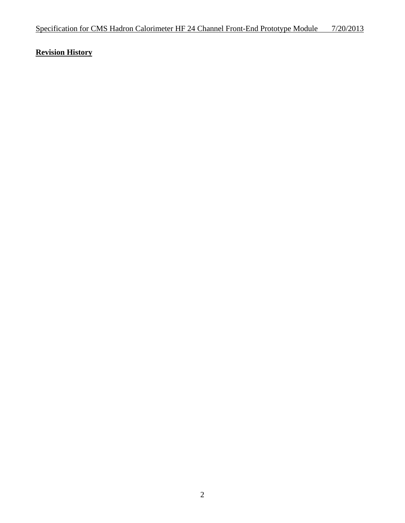## **Revision History**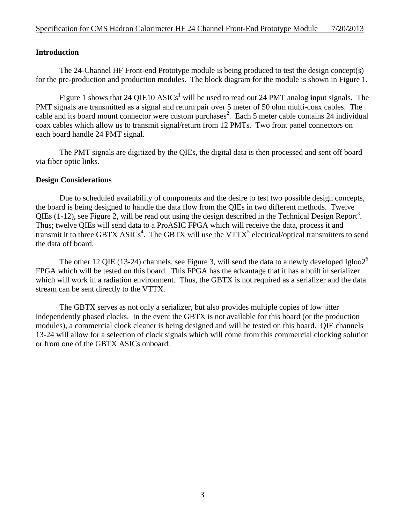### **Introduction**

 The 24-Channel HF Front-end Prototype module is being produced to test the design concept(s) for the pre-production and production modules. The block diagram for the module is shown in Figure 1.

Figure 1 shows that 24 QIE10  $\text{ASICS}^1$  will be used to read out 24 PMT analog input signals. The PMT signals are transmitted as a signal and return pair over 5 meter of 50 ohm multi-coax cables. The cable and its board mount connector were custom purchases<sup>2</sup>. Each 5 meter cable contains 24 individual coax cables which allow us to transmit signal/return from 12 PMTs. Two front panel connectors on each board handle 24 PMT signal.

 The PMT signals are digitized by the QIEs, the digital data is then processed and sent off board via fiber optic links.

#### **Design Considerations**

 Due to scheduled availability of components and the desire to test two possible design concepts, the board is being designed to handle the data flow from the QIEs in two different methods. Twelve QIEs  $(1-12)$ , see Figure 2, will be read out using the design described in the Technical Design Report<sup>3</sup>. Thus; twelve QIEs will send data to a ProASIC FPGA which will receive the data, process it and transmit it to three GBTX  $ASICS^4$ . The GBTX will use the VTTX<sup>5</sup> electrical/optical transmitters to send the data off board.

The other 12 QIE (13-24) channels, see Figure 3, will send the data to a newly developed Igloo2<sup>6</sup> FPGA which will be tested on this board. This FPGA has the advantage that it has a built in serializer which will work in a radiation environment. Thus, the GBTX is not required as a serializer and the data stream can be sent directly to the VTTX.

 The GBTX serves as not only a serializer, but also provides multiple copies of low jitter independently phased clocks. In the event the GBTX is not available for this board (or the production modules), a commercial clock cleaner is being designed and will be tested on this board. QIE channels 13-24 will allow for a selection of clock signals which will come from this commercial clocking solution or from one of the GBTX ASICs onboard.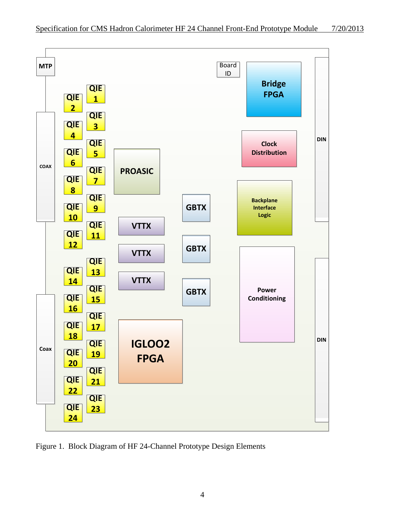

Figure 1. Block Diagram of HF 24-Channel Prototype Design Elements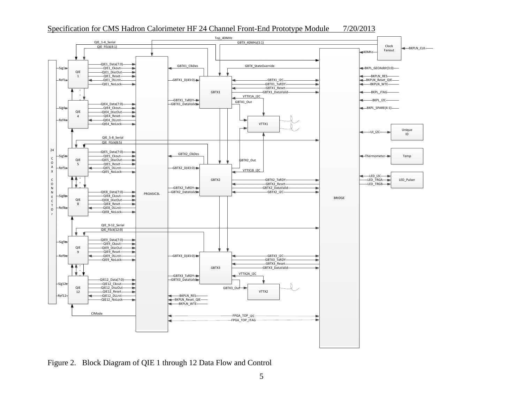

Figure 2. Block Diagram of QIE 1 through 12 Data Flow and Control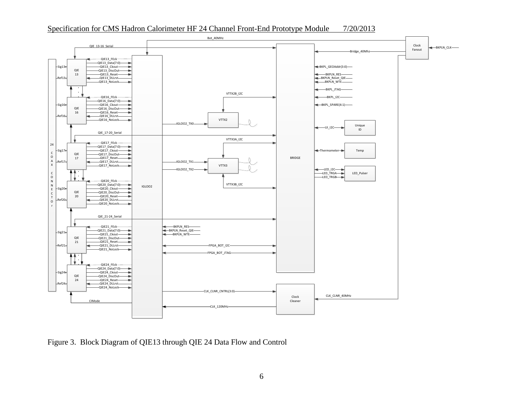

Figure 3. Block Diagram of QIE13 through QIE 24 Data Flow and Control